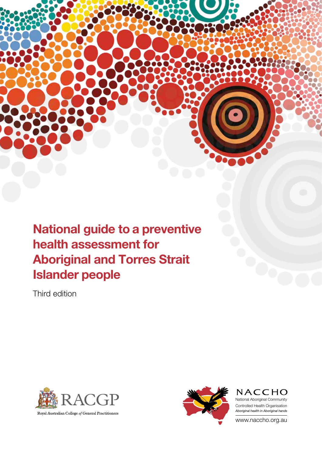National guide to a preventive health assessment for Aboriginal and Torres Strait Islander people

Third edition





**NACCHO** National Aboriginal Community Controlled Health Organisation *Aboriginal health in Aboriginal hands*

www.naccho.org.au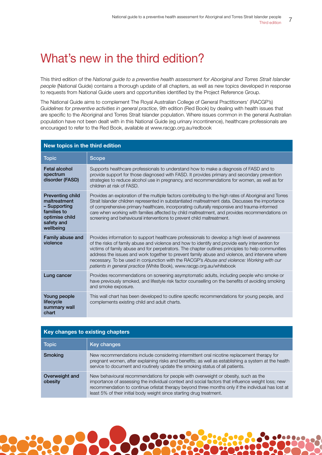## What's new in the third edition?

This third edition of the *National guide to a preventive health assessment for Aboriginal and Torres Strait Islander people* (National Guide) contains a thorough update of all chapters, as well as new topics developed in response to requests from National Guide users and opportunities identified by the Project Reference Group.

The National Guide aims to complement The Royal Australian College of General Practitioners' (RACGP's) *Guidelines for preventive activities in general practice*, 9th edition (Red Book) by dealing with health issues that are specific to the Aboriginal and Torres Strait Islander population. Where issues common in the general Australian population have not been dealt with in this National Guide (eg urinary incontinence), healthcare professionals are encouraged to refer to the Red Book, available at www.racgp.org.au/redbook

| New topics in the third edition                                                                                     |                                                                                                                                                                                                                                                                                                                                                                                                                                                                                                                                                                                 |  |
|---------------------------------------------------------------------------------------------------------------------|---------------------------------------------------------------------------------------------------------------------------------------------------------------------------------------------------------------------------------------------------------------------------------------------------------------------------------------------------------------------------------------------------------------------------------------------------------------------------------------------------------------------------------------------------------------------------------|--|
| <b>Topic</b>                                                                                                        | <b>Scope</b>                                                                                                                                                                                                                                                                                                                                                                                                                                                                                                                                                                    |  |
| <b>Fetal alcohol</b><br>spectrum<br>disorder (FASD)                                                                 | Supports healthcare professionals to understand how to make a diagnosis of FASD and to<br>provide support for those diagnosed with FASD. It provides primary and secondary prevention<br>strategies to reduce alcohol use in pregnancy, and recommendations for women, as well as for<br>children at risk of FASD.                                                                                                                                                                                                                                                              |  |
| <b>Preventing child</b><br>maltreatment<br>- Supporting<br>families to<br>optimise child<br>safety and<br>wellbeing | Provides an exploration of the multiple factors contributing to the high rates of Aboriginal and Torres<br>Strait Islander children represented in substantiated maltreatment data. Discusses the importance<br>of comprehensive primary healthcare, incorporating culturally responsive and trauma-informed<br>care when working with families affected by child maltreatment, and provides recommendations on<br>screening and behavioural interventions to prevent child maltreatment.                                                                                       |  |
| Family abuse and<br>violence                                                                                        | Provides information to support healthcare professionals to develop a high level of awareness<br>of the risks of family abuse and violence and how to identify and provide early intervention for<br>victims of family abuse and for perpetrators. The chapter outlines principles to help communities<br>address the issues and work together to prevent family abuse and violence, and intervene where<br>necessary. To be used in conjunction with the RACGP's Abuse and violence: Working with our<br>patients in general practice (White Book), www.racgp.org.au/whitebook |  |
| Lung cancer                                                                                                         | Provides recommendations on screening asymptomatic adults, including people who smoke or<br>have previously smoked, and lifestyle risk factor counselling on the benefits of avoiding smoking<br>and smoke exposure.                                                                                                                                                                                                                                                                                                                                                            |  |
| Young people<br>lifecycle<br>summary wall<br>chart                                                                  | This wall chart has been developed to outline specific recommendations for young people, and<br>complements existing child and adult charts.                                                                                                                                                                                                                                                                                                                                                                                                                                    |  |

| Key changes to existing chapters |                                                                                                                                                                                                                                                                                                                                                                       |
|----------------------------------|-----------------------------------------------------------------------------------------------------------------------------------------------------------------------------------------------------------------------------------------------------------------------------------------------------------------------------------------------------------------------|
| <b>Topic</b>                     | Key changes                                                                                                                                                                                                                                                                                                                                                           |
| <b>Smoking</b>                   | New recommendations include considering intermittent oral nicotine replacement therapy for<br>pregnant women, after explaining risks and benefits; as well as establishing a system at the health<br>service to document and routinely update the smoking status of all patients.                                                                                     |
| Overweight and<br>obesity        | New behavioural recommendations for people with overweight or obesity, such as the<br>importance of assessing the individual context and social factors that influence weight loss; new<br>recommendation to continue orlistat therapy beyond three months only if the individual has lost at<br>least 5% of their initial body weight since starting drug treatment. |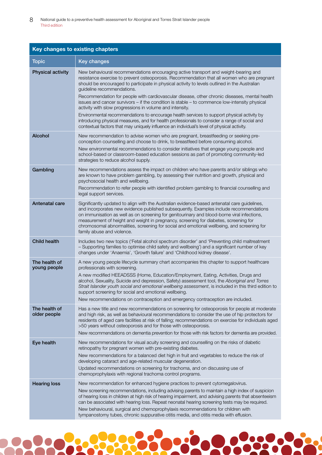| Key changes to existing chapters |                                                                                                                                                                                                                                                                                                                                                                                                                                                                                                                                                                                                                                                                                                                                                                                                                                                                             |  |
|----------------------------------|-----------------------------------------------------------------------------------------------------------------------------------------------------------------------------------------------------------------------------------------------------------------------------------------------------------------------------------------------------------------------------------------------------------------------------------------------------------------------------------------------------------------------------------------------------------------------------------------------------------------------------------------------------------------------------------------------------------------------------------------------------------------------------------------------------------------------------------------------------------------------------|--|
| <b>Topic</b>                     | <b>Key changes</b>                                                                                                                                                                                                                                                                                                                                                                                                                                                                                                                                                                                                                                                                                                                                                                                                                                                          |  |
| <b>Physical activity</b>         | New behavioural recommendations encouraging active transport and weight-bearing and<br>resistance exercise to prevent osteoporosis. Recommendation that all women who are pregnant<br>should be encouraged to participate in physical activity to levels outlined in the Australian<br>guideline recommendations.<br>Recommendation for people with cardiovascular disease, other chronic diseases, mental health<br>issues and cancer survivors – if the condition is stable – to commence low-intensity physical<br>activity with slow progressions in volume and intensity.<br>Environmental recommendations to encourage health services to support physical activity by<br>introducing physical measures, and for health professionals to consider a range of social and<br>contextual factors that may uniquely influence an individual's level of physical activity. |  |
| <b>Alcohol</b>                   | New recommendation to advise women who are pregnant, breastfeeding or seeking pre-<br>conception counselling and choose to drink, to breastfeed before consuming alcohol.                                                                                                                                                                                                                                                                                                                                                                                                                                                                                                                                                                                                                                                                                                   |  |
|                                  | New environmental recommendations to consider initiatives that engage young people and<br>school-based or classroom-based education sessions as part of promoting community-led<br>strategies to reduce alcohol supply.                                                                                                                                                                                                                                                                                                                                                                                                                                                                                                                                                                                                                                                     |  |
| Gambling                         | New recommendations assess the impact on children who have parents and/or siblings who<br>are known to have problem gambling, by assessing their nutrition and growth, physical and<br>psychosocial health and wellbeing.<br>Recommendation to refer people with identified problem gambling to financial counselling and                                                                                                                                                                                                                                                                                                                                                                                                                                                                                                                                                   |  |
|                                  | legal support services.                                                                                                                                                                                                                                                                                                                                                                                                                                                                                                                                                                                                                                                                                                                                                                                                                                                     |  |
| Antenatal care                   | Significantly updated to align with the Australian evidence-based antenatal care guidelines,<br>and incorporates new evidence published subsequently. Examples include recommendations<br>on immunisation as well as on screening for genitourinary and blood-borne viral infections,<br>measurement of height and weight in pregnancy, screening for diabetes, screening for<br>chromosomal abnormalities, screening for social and emotional wellbeing, and screening for<br>family abuse and violence.                                                                                                                                                                                                                                                                                                                                                                   |  |
| <b>Child health</b>              | Includes two new topics ('Fetal alcohol spectrum disorder' and 'Preventing child maltreatment<br>- Supporting families to optimise child safety and wellbeing') and a significant number of key<br>changes under 'Anaemia', 'Growth failure' and 'Childhood kidney disease'.                                                                                                                                                                                                                                                                                                                                                                                                                                                                                                                                                                                                |  |
| The health of<br>young people    | A new young people lifecycle summary chart accompanies this chapter to support healthcare<br>professionals with screening.<br>A new modified HEEADSSS (Home, Education/Employment, Eating, Activities, Drugs and<br>alcohol, Sexuality, Suicide and depression, Safety) assessment tool, the Aboriginal and Torres<br>Strait Islander youth social and emotional wellbeing assessment, is included in this third edition to<br>support screening for social and emotional wellbeing.<br>New recommendations on contraception and emergency contraception are included.                                                                                                                                                                                                                                                                                                      |  |
| The health of<br>older people    | Has a new title and new recommendations on screening for osteoporosis for people at moderate<br>and high risk, as well as behavioural recommendations to consider the use of hip protectors for<br>residents of aged care facilities at risk of falling; recommendations on exercise for individuals aged<br>>50 years without osteoporosis and for those with osteoporosis.<br>New recommendations on dementia prevention for those with risk factors for dementia are provided.                                                                                                                                                                                                                                                                                                                                                                                           |  |
| Eye health                       | New recommendations for visual acuity screening and counselling on the risks of diabetic<br>retinopathy for pregnant women with pre-existing diabetes.<br>New recommendations for a balanced diet high in fruit and vegetables to reduce the risk of<br>developing cataract and age-related muscular degeneration.<br>Updated recommendations on screening for trachoma, and on discussing use of<br>chemoprophylaxis with regional trachoma control programs.                                                                                                                                                                                                                                                                                                                                                                                                              |  |
| <b>Hearing loss</b>              | New recommendation for enhanced hygiene practices to prevent cytomegalovirus.<br>New screening recommendations, including advising parents to maintain a high index of suspicion<br>of hearing loss in children at high risk of hearing impairment, and advising parents that absenteeism<br>can be associated with hearing loss. Repeat neonatal hearing screening tests may be required.<br>New behavioural, surgical and chemoprophylaxis recommendations for children with<br>tympanostomy tubes, chronic suppurative otitis media, and otitis media with effusion.                                                                                                                                                                                                                                                                                                     |  |

<u>poda</u>